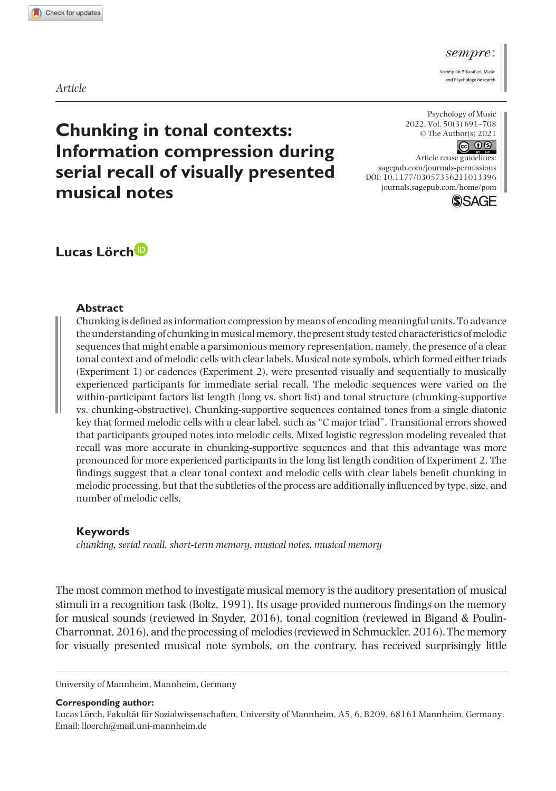#### sempre

Society for Education, Musiand Psychology Research

*Article*

**Chunking in tonal contexts: Information compression during serial recall of visually presented musical notes**

Psychology of Music 2022, Vol. 50(3) 691–708 © The Author(s) 2021  $\circledcirc$   $\circledcirc$ 

DOI: 10.1177/03057356211013396 Article reuse guidelines: [sagepub.com/journals-permissions](https://uk.sagepub.com/en-gb/journals-permissions) [journals.sagepub.com/home/pom](https://journals.sagepub.com/home/pom)



# **Lucas Lörch**

#### **Abstract**

Chunking is defined as information compression by means of encoding meaningful units. To advance the understanding of chunking in musical memory, the present study tested characteristics of melodic sequences that might enable a parsimonious memory representation, namely, the presence of a clear tonal context and of melodic cells with clear labels. Musical note symbols, which formed either triads (Experiment 1) or cadences (Experiment 2), were presented visually and sequentially to musically experienced participants for immediate serial recall. The melodic sequences were varied on the within-participant factors list length (long vs. short list) and tonal structure (chunking-supportive vs. chunking-obstructive). Chunking-supportive sequences contained tones from a single diatonic key that formed melodic cells with a clear label, such as "C major triad". Transitional errors showed that participants grouped notes into melodic cells. Mixed logistic regression modeling revealed that recall was more accurate in chunking-supportive sequences and that this advantage was more pronounced for more experienced participants in the long list length condition of Experiment 2. The findings suggest that a clear tonal context and melodic cells with clear labels benefit chunking in melodic processing, but that the subtleties of the process are additionally influenced by type, size, and number of melodic cells.

#### **Keywords**

*chunking, serial recall, short-term memory, musical notes, musical memory*

The most common method to investigate musical memory is the auditory presentation of musical stimuli in a recognition task (Boltz, 1991). Its usage provided numerous findings on the memory for musical sounds (reviewed in Snyder, 2016), tonal cognition (reviewed in Bigand & Poulin-Charronnat, 2016), and the processing of melodies (reviewed in Schmuckler, 2016). The memory for visually presented musical note symbols, on the contrary, has received surprisingly little

University of Mannheim, Mannheim, Germany

#### **Corresponding author:**

Lucas Lörch, Fakultät für Sozialwissenschaften, University of Mannheim, A5, 6, B209, 68161 Mannheim, Germany. Email: [lloerch@mail.uni-mannheim.de](mailto:lloerch@mail.uni-mannheim.de)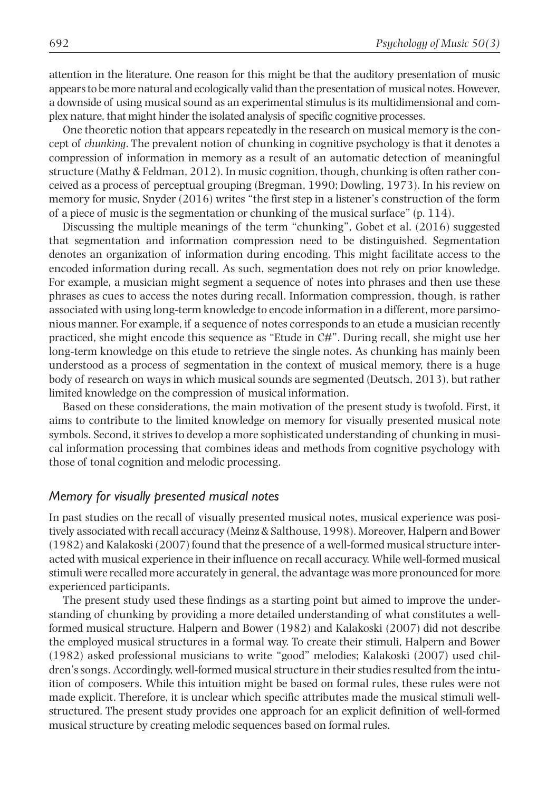attention in the literature. One reason for this might be that the auditory presentation of music appears to be more natural and ecologically valid than the presentation of musical notes. However, a downside of using musical sound as an experimental stimulus is its multidimensional and complex nature, that might hinder the isolated analysis of specific cognitive processes.

One theoretic notion that appears repeatedly in the research on musical memory is the concept of *chunking*. The prevalent notion of chunking in cognitive psychology is that it denotes a compression of information in memory as a result of an automatic detection of meaningful structure (Mathy & Feldman, 2012). In music cognition, though, chunking is often rather conceived as a process of perceptual grouping (Bregman, 1990; Dowling, 1973). In his review on memory for music, Snyder (2016) writes "the first step in a listener's construction of the form of a piece of music is the segmentation or chunking of the musical surface" (p. 114).

Discussing the multiple meanings of the term "chunking", Gobet et al. (2016) suggested that segmentation and information compression need to be distinguished. Segmentation denotes an organization of information during encoding. This might facilitate access to the encoded information during recall. As such, segmentation does not rely on prior knowledge. For example, a musician might segment a sequence of notes into phrases and then use these phrases as cues to access the notes during recall. Information compression, though, is rather associated with using long-term knowledge to encode information in a different, more parsimonious manner. For example, if a sequence of notes corresponds to an etude a musician recently practiced, she might encode this sequence as "Etude in C#". During recall, she might use her long-term knowledge on this etude to retrieve the single notes. As chunking has mainly been understood as a process of segmentation in the context of musical memory, there is a huge body of research on ways in which musical sounds are segmented (Deutsch, 2013), but rather limited knowledge on the compression of musical information.

Based on these considerations, the main motivation of the present study is twofold. First, it aims to contribute to the limited knowledge on memory for visually presented musical note symbols. Second, it strives to develop a more sophisticated understanding of chunking in musical information processing that combines ideas and methods from cognitive psychology with those of tonal cognition and melodic processing.

### *Memory for visually presented musical notes*

In past studies on the recall of visually presented musical notes, musical experience was positively associated with recall accuracy (Meinz & Salthouse, 1998). Moreover, Halpern and Bower (1982) and Kalakoski (2007) found that the presence of a well-formed musical structure interacted with musical experience in their influence on recall accuracy. While well-formed musical stimuli were recalled more accurately in general, the advantage was more pronounced for more experienced participants.

The present study used these findings as a starting point but aimed to improve the understanding of chunking by providing a more detailed understanding of what constitutes a wellformed musical structure. Halpern and Bower (1982) and Kalakoski (2007) did not describe the employed musical structures in a formal way. To create their stimuli, Halpern and Bower (1982) asked professional musicians to write "good" melodies; Kalakoski (2007) used children's songs. Accordingly, well-formed musical structure in their studies resulted from the intuition of composers. While this intuition might be based on formal rules, these rules were not made explicit. Therefore, it is unclear which specific attributes made the musical stimuli wellstructured. The present study provides one approach for an explicit definition of well-formed musical structure by creating melodic sequences based on formal rules.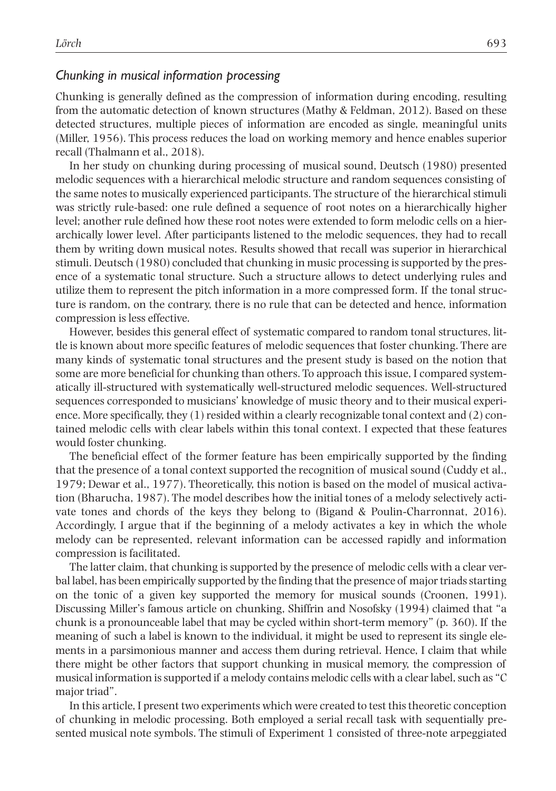## *Chunking in musical information processing*

Chunking is generally defined as the compression of information during encoding, resulting from the automatic detection of known structures (Mathy & Feldman, 2012). Based on these detected structures, multiple pieces of information are encoded as single, meaningful units (Miller, 1956). This process reduces the load on working memory and hence enables superior recall (Thalmann et al., 2018).

In her study on chunking during processing of musical sound, Deutsch (1980) presented melodic sequences with a hierarchical melodic structure and random sequences consisting of the same notes to musically experienced participants. The structure of the hierarchical stimuli was strictly rule-based: one rule defined a sequence of root notes on a hierarchically higher level; another rule defined how these root notes were extended to form melodic cells on a hierarchically lower level. After participants listened to the melodic sequences, they had to recall them by writing down musical notes. Results showed that recall was superior in hierarchical stimuli. Deutsch (1980) concluded that chunking in music processing is supported by the presence of a systematic tonal structure. Such a structure allows to detect underlying rules and utilize them to represent the pitch information in a more compressed form. If the tonal structure is random, on the contrary, there is no rule that can be detected and hence, information compression is less effective.

However, besides this general effect of systematic compared to random tonal structures, little is known about more specific features of melodic sequences that foster chunking. There are many kinds of systematic tonal structures and the present study is based on the notion that some are more beneficial for chunking than others. To approach this issue, I compared systematically ill-structured with systematically well-structured melodic sequences. Well-structured sequences corresponded to musicians' knowledge of music theory and to their musical experience. More specifically, they (1) resided within a clearly recognizable tonal context and (2) contained melodic cells with clear labels within this tonal context. I expected that these features would foster chunking.

The beneficial effect of the former feature has been empirically supported by the finding that the presence of a tonal context supported the recognition of musical sound (Cuddy et al., 1979; Dewar et al., 1977). Theoretically, this notion is based on the model of musical activation (Bharucha, 1987). The model describes how the initial tones of a melody selectively activate tones and chords of the keys they belong to (Bigand & Poulin-Charronnat, 2016). Accordingly, I argue that if the beginning of a melody activates a key in which the whole melody can be represented, relevant information can be accessed rapidly and information compression is facilitated.

The latter claim, that chunking is supported by the presence of melodic cells with a clear verbal label, has been empirically supported by the finding that the presence of major triads starting on the tonic of a given key supported the memory for musical sounds (Croonen, 1991). Discussing Miller's famous article on chunking, Shiffrin and Nosofsky (1994) claimed that "a chunk is a pronounceable label that may be cycled within short-term memory" (p. 360). If the meaning of such a label is known to the individual, it might be used to represent its single elements in a parsimonious manner and access them during retrieval. Hence, I claim that while there might be other factors that support chunking in musical memory, the compression of musical information is supported if a melody contains melodic cells with a clear label, such as "C major triad".

In this article, I present two experiments which were created to test this theoretic conception of chunking in melodic processing. Both employed a serial recall task with sequentially presented musical note symbols. The stimuli of Experiment 1 consisted of three-note arpeggiated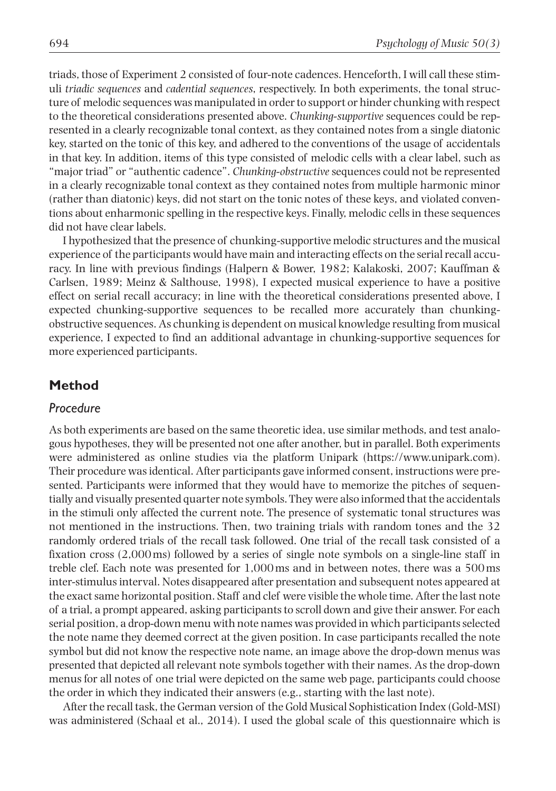triads, those of Experiment 2 consisted of four-note cadences. Henceforth, I will call these stimuli *triadic sequences* and *cadential sequences*, respectively. In both experiments, the tonal structure of melodic sequences was manipulated in order to support or hinder chunking with respect to the theoretical considerations presented above. *Chunking-supportive* sequences could be represented in a clearly recognizable tonal context, as they contained notes from a single diatonic key, started on the tonic of this key, and adhered to the conventions of the usage of accidentals in that key. In addition, items of this type consisted of melodic cells with a clear label, such as "major triad" or "authentic cadence". *Chunking-obstructive* sequences could not be represented in a clearly recognizable tonal context as they contained notes from multiple harmonic minor (rather than diatonic) keys, did not start on the tonic notes of these keys, and violated conventions about enharmonic spelling in the respective keys. Finally, melodic cells in these sequences did not have clear labels.

I hypothesized that the presence of chunking-supportive melodic structures and the musical experience of the participants would have main and interacting effects on the serial recall accuracy. In line with previous findings (Halpern & Bower, 1982; Kalakoski, 2007; Kauffman & Carlsen, 1989; Meinz & Salthouse, 1998), I expected musical experience to have a positive effect on serial recall accuracy; in line with the theoretical considerations presented above, I expected chunking-supportive sequences to be recalled more accurately than chunkingobstructive sequences. As chunking is dependent on musical knowledge resulting from musical experience, I expected to find an additional advantage in chunking-supportive sequences for more experienced participants.

## **Method**

## *Procedure*

As both experiments are based on the same theoretic idea, use similar methods, and test analogous hypotheses, they will be presented not one after another, but in parallel. Both experiments were administered as online studies via the platform Unipark [\(https://www.unipark.com\)](https://www.unipark.com). Their procedure was identical. After participants gave informed consent, instructions were presented. Participants were informed that they would have to memorize the pitches of sequentially and visually presented quarter note symbols. They were also informed that the accidentals in the stimuli only affected the current note. The presence of systematic tonal structures was not mentioned in the instructions. Then, two training trials with random tones and the 32 randomly ordered trials of the recall task followed. One trial of the recall task consisted of a fixation cross (2,000ms) followed by a series of single note symbols on a single-line staff in treble clef. Each note was presented for 1,000ms and in between notes, there was a 500ms inter-stimulus interval. Notes disappeared after presentation and subsequent notes appeared at the exact same horizontal position. Staff and clef were visible the whole time. After the last note of a trial, a prompt appeared, asking participants to scroll down and give their answer. For each serial position, a drop-down menu with note names was provided in which participants selected the note name they deemed correct at the given position. In case participants recalled the note symbol but did not know the respective note name, an image above the drop-down menus was presented that depicted all relevant note symbols together with their names. As the drop-down menus for all notes of one trial were depicted on the same web page, participants could choose the order in which they indicated their answers (e.g., starting with the last note).

After the recall task, the German version of the Gold Musical Sophistication Index (Gold-MSI) was administered (Schaal et al., 2014). I used the global scale of this questionnaire which is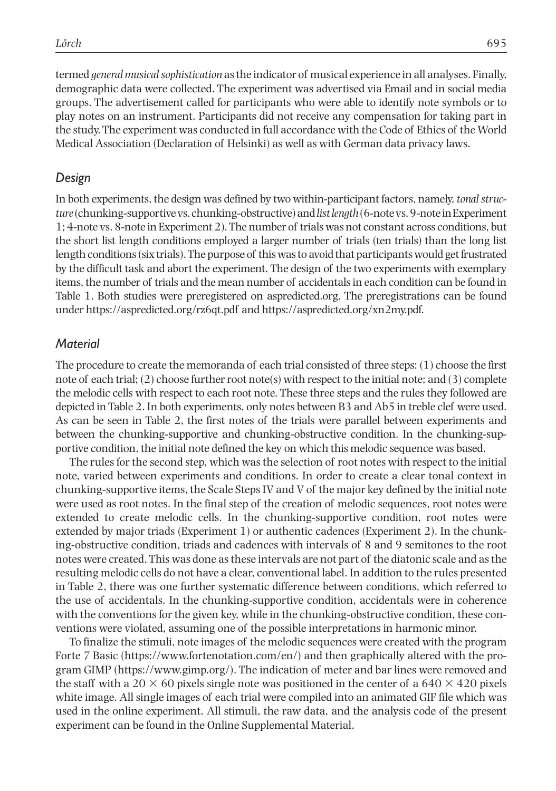termed *general musical sophistication* as the indicator of musical experience in all analyses. Finally, demographic data were collected. The experiment was advertised via Email and in social media groups. The advertisement called for participants who were able to identify note symbols or to play notes on an instrument. Participants did not receive any compensation for taking part in the study. The experiment was conducted in full accordance with the Code of Ethics of the World Medical Association (Declaration of Helsinki) as well as with German data privacy laws.

## *Design*

In both experiments, the design was defined by two within-participant factors, namely, *tonal structure* (chunking-supportive vs. chunking-obstructive) and *list length* (6-note vs. 9-note in Experiment 1; 4-note vs. 8-note in Experiment 2). The number of trials was not constant across conditions, but the short list length conditions employed a larger number of trials (ten trials) than the long list length conditions (six trials). The purpose of this was to avoid that participants would get frustrated by the difficult task and abort the experiment. The design of the two experiments with exemplary items, the number of trials and the mean number of accidentals in each condition can be found in Table 1. Both studies were preregistered on aspredicted.org. The preregistrations can be found under<https://aspredicted.org/rz6qt.pdf> and<https://aspredicted.org/xn2my.pdf>.

## *Material*

The procedure to create the memoranda of each trial consisted of three steps: (1) choose the first note of each trial; (2) choose further root note(s) with respect to the initial note; and (3) complete the melodic cells with respect to each root note. These three steps and the rules they followed are depicted in Table 2. In both experiments, only notes between B3 and Ab5 in treble clef were used. As can be seen in Table 2, the first notes of the trials were parallel between experiments and between the chunking-supportive and chunking-obstructive condition. In the chunking-supportive condition, the initial note defined the key on which this melodic sequence was based.

The rules for the second step, which was the selection of root notes with respect to the initial note, varied between experiments and conditions. In order to create a clear tonal context in chunking-supportive items, the Scale Steps IV and V of the major key defined by the initial note were used as root notes. In the final step of the creation of melodic sequences, root notes were extended to create melodic cells. In the chunking-supportive condition, root notes were extended by major triads (Experiment 1) or authentic cadences (Experiment 2). In the chunking-obstructive condition, triads and cadences with intervals of 8 and 9 semitones to the root notes were created. This was done as these intervals are not part of the diatonic scale and as the resulting melodic cells do not have a clear, conventional label. In addition to the rules presented in Table 2, there was one further systematic difference between conditions, which referred to the use of accidentals. In the chunking-supportive condition, accidentals were in coherence with the conventions for the given key, while in the chunking-obstructive condition, these conventions were violated, assuming one of the possible interpretations in harmonic minor.

To finalize the stimuli, note images of the melodic sequences were created with the program Forte 7 Basic [\(https://www.fortenotation.com/en/\)](https://www.fortenotation.com/en/) and then graphically altered with the program GIMP [\(https://www.gimp.org/](https://www.gimp.org/)). The indication of meter and bar lines were removed and the staff with a 20  $\times$  60 pixels single note was positioned in the center of a 640  $\times$  420 pixels white image. All single images of each trial were compiled into an animated GIF file which was used in the online experiment. All stimuli, the raw data, and the analysis code of the present experiment can be found in the Online Supplemental Material.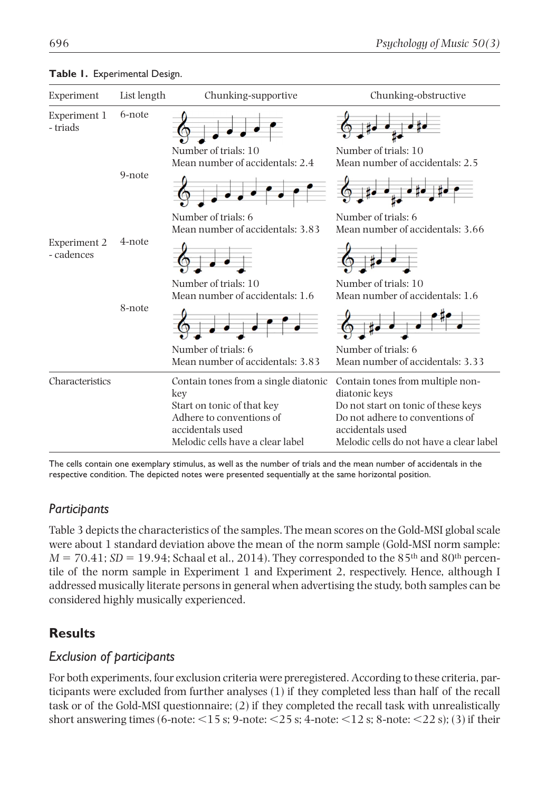| Experiment                 | List length | Chunking-supportive                                                                                            | Chunking-obstructive                                                                                                                  |
|----------------------------|-------------|----------------------------------------------------------------------------------------------------------------|---------------------------------------------------------------------------------------------------------------------------------------|
| Experiment 1<br>- triads   | 6-note      |                                                                                                                |                                                                                                                                       |
|                            |             | Number of trials: 10<br>Mean number of accidentals: 2.4                                                        | Number of trials: 10<br>Mean number of accidentals: 2.5                                                                               |
|                            | 9-note      |                                                                                                                |                                                                                                                                       |
|                            | 4-note      | Number of trials: 6<br>Mean number of accidentals: 3.83                                                        | Number of trials: 6<br>Mean number of accidentals: 3.66                                                                               |
| Experiment 2<br>- cadences |             |                                                                                                                |                                                                                                                                       |
|                            | 8-note      | Number of trials: 10<br>Mean number of accidentals: 1.6                                                        | Number of trials: 10<br>Mean number of accidentals: 1.6                                                                               |
|                            |             |                                                                                                                |                                                                                                                                       |
|                            |             | Number of trials: 6<br>Mean number of accidentals: 3.83                                                        | Number of trials: 6<br>Mean number of accidentals: 3.33                                                                               |
| Characteristics            |             | Contain tones from a single diatonic<br>key                                                                    | Contain tones from multiple non-<br>diatonic keys                                                                                     |
|                            |             | Start on tonic of that key<br>Adhere to conventions of<br>accidentals used<br>Melodic cells have a clear label | Do not start on tonic of these keys<br>Do not adhere to conventions of<br>accidentals used<br>Melodic cells do not have a clear label |

#### **Table 1.** Experimental Design.

The cells contain one exemplary stimulus, as well as the number of trials and the mean number of accidentals in the respective condition. The depicted notes were presented sequentially at the same horizontal position.

## *Participants*

Table 3 depicts the characteristics of the samples. The mean scores on the Gold-MSI global scale were about 1 standard deviation above the mean of the norm sample (Gold-MSI norm sample:  $M = 70.41$ ;  $SD = 19.94$ ; Schaal et al., 2014). They corresponded to the 85<sup>th</sup> and 80<sup>th</sup> percentile of the norm sample in Experiment 1 and Experiment 2, respectively. Hence, although I addressed musically literate persons in general when advertising the study, both samples can be considered highly musically experienced.

## **Results**

## *Exclusion of participants*

For both experiments, four exclusion criteria were preregistered. According to these criteria, participants were excluded from further analyses (1) if they completed less than half of the recall task or of the Gold-MSI questionnaire; (2) if they completed the recall task with unrealistically short answering times (6-note:  $\leq$ 15 s; 9-note:  $\leq$ 25 s; 4-note:  $\leq$ 12 s; 8-note:  $\leq$ 22 s); (3) if their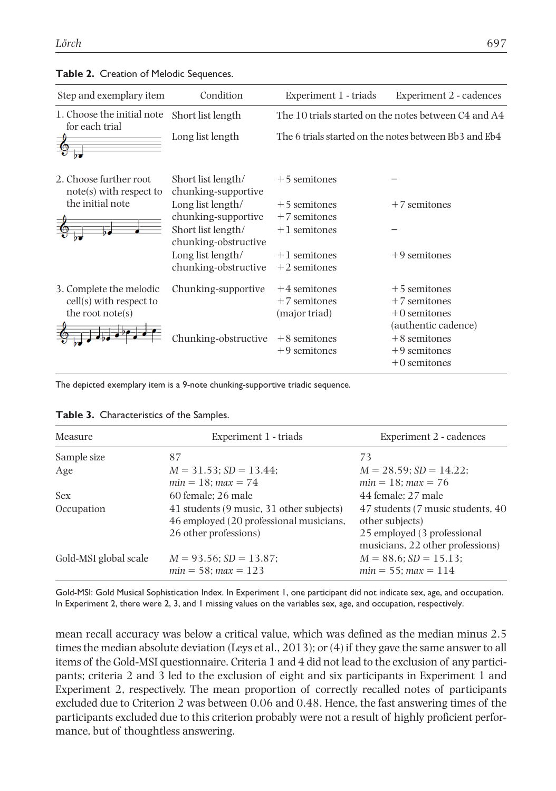| Step and exemplary item                           | Condition                                  | Experiment 1 - triads                                 | Experiment 2 - cadences |  |  |  |
|---------------------------------------------------|--------------------------------------------|-------------------------------------------------------|-------------------------|--|--|--|
| 1. Choose the initial note<br>for each trial      | Short list length                          | The 10 trials started on the notes between C4 and A4  |                         |  |  |  |
|                                                   | Long list length                           | The 6 trials started on the notes between Bb3 and Eb4 |                         |  |  |  |
| 2. Choose further root<br>note(s) with respect to | Short list length/<br>chunking-supportive  | $+5$ semitones                                        |                         |  |  |  |
| the initial note                                  | Long list length/                          | $+5$ semitones                                        | $+7$ semitones          |  |  |  |
|                                                   | chunking-supportive                        | $+7$ semitones                                        |                         |  |  |  |
|                                                   | Short list length/<br>chunking-obstructive | $+1$ semitones                                        |                         |  |  |  |
|                                                   | Long list length/                          | $+1$ semitones                                        | $+9$ semitones          |  |  |  |
|                                                   | chunking-obstructive                       | $+2$ semitones                                        |                         |  |  |  |
| 3. Complete the melodic                           | Chunking-supportive                        | $+4$ semitones                                        | $+5$ semitones          |  |  |  |
| cell(s) with respect to                           |                                            | $+7$ semitones                                        | $+7$ semitones          |  |  |  |
| the root $note(s)$                                |                                            | (major triad)                                         | $+0$ semitones          |  |  |  |
|                                                   |                                            |                                                       | (authentic cadence)     |  |  |  |
|                                                   | hunking-obstructive                        | $+8$ semitones                                        | $+8$ semitones          |  |  |  |
|                                                   |                                            | $+9$ semitones                                        | $+9$ semitones          |  |  |  |
|                                                   |                                            |                                                       | $+0$ semitones          |  |  |  |

#### **Table 2.** Creation of Melodic Sequences.

The depicted exemplary item is a 9-note chunking-supportive triadic sequence.

| Measure               | Experiment 1 - triads                                                               | Experiment 2 - cadences                                         |  |  |
|-----------------------|-------------------------------------------------------------------------------------|-----------------------------------------------------------------|--|--|
| Sample size           | 87                                                                                  | 73                                                              |  |  |
| Age                   | $M = 31.53$ ; $SD = 13.44$ ;<br>$min = 18; max = 74$                                | $M = 28.59$ ; $SD = 14.22$ ;<br>$min = 18; max = 76$            |  |  |
| Sex                   | 60 female: 26 male                                                                  | 44 female: 27 male                                              |  |  |
| Occupation            | 41 students (9 music, 31 other subjects)<br>46 employed (20 professional musicians, | 47 students (7 music students, 40)<br>other subjects)           |  |  |
|                       | 26 other professions)                                                               | 25 employed (3 professional<br>musicians, 22 other professions) |  |  |
| Gold-MSI global scale | $M = 93.56$ ; $SD = 13.87$ ;<br>$min = 58$ ; $max = 123$                            | $M = 88.6$ ; $SD = 15.13$ ;<br>$min = 55$ ; $max = 114$         |  |  |

#### **Table 3.** Characteristics of the Samples.

Gold-MSI: Gold Musical Sophistication Index. In Experiment 1, one participant did not indicate sex, age, and occupation. In Experiment 2, there were 2, 3, and 1 missing values on the variables sex, age, and occupation, respectively.

mean recall accuracy was below a critical value, which was defined as the median minus 2.5 times the median absolute deviation (Leys et al., 2013); or (4) if they gave the same answer to all items of the Gold-MSI questionnaire. Criteria 1 and 4 did not lead to the exclusion of any participants; criteria 2 and 3 led to the exclusion of eight and six participants in Experiment 1 and Experiment 2, respectively. The mean proportion of correctly recalled notes of participants excluded due to Criterion 2 was between 0.06 and 0.48. Hence, the fast answering times of the participants excluded due to this criterion probably were not a result of highly proficient performance, but of thoughtless answering.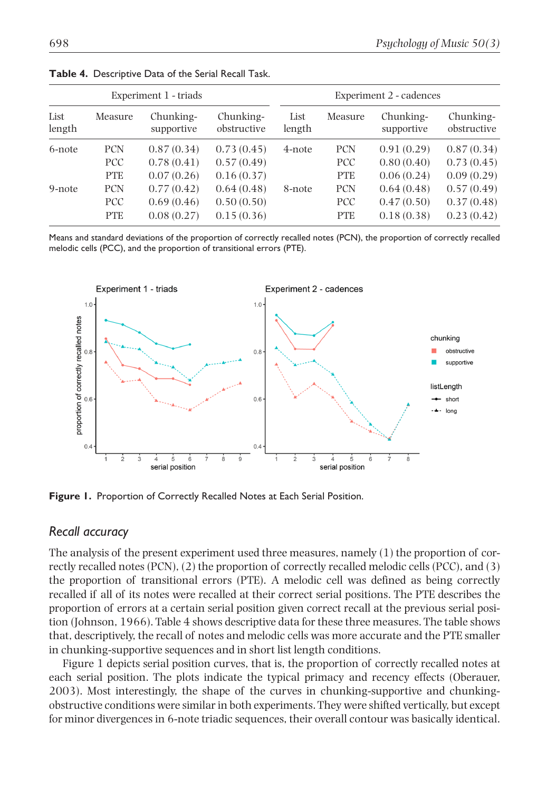| Experiment 1 - triads |            |                         |                          | Experiment 2 - cadences |            |                         |                          |
|-----------------------|------------|-------------------------|--------------------------|-------------------------|------------|-------------------------|--------------------------|
| List<br>length        | Measure    | Chunking-<br>supportive | Chunking-<br>obstructive | List<br>length          | Measure    | Chunking-<br>supportive | Chunking-<br>obstructive |
| 6-note                | <b>PCN</b> | 0.87(0.34)              | 0.73(0.45)               | 4-note                  | <b>PCN</b> | 0.91(0.29)              | 0.87(0.34)               |
|                       | PCC        | 0.78(0.41)              | 0.57(0.49)               |                         | <b>PCC</b> | 0.80(0.40)              | 0.73(0.45)               |
|                       | <b>PTE</b> | 0.07(0.26)              | 0.16(0.37)               |                         | <b>PTE</b> | 0.06(0.24)              | 0.09(0.29)               |
| 9-note                | <b>PCN</b> | 0.77(0.42)              | 0.64(0.48)               | 8-note                  | <b>PCN</b> | 0.64(0.48)              | 0.57(0.49)               |
|                       | PCC        | 0.69(0.46)              | 0.50(0.50)               |                         | <b>PCC</b> | 0.47(0.50)              | 0.37(0.48)               |
|                       | <b>PTE</b> | 0.08(0.27)              | 0.15(0.36)               |                         | <b>PTE</b> | 0.18(0.38)              | 0.23(0.42)               |

**Table 4.** Descriptive Data of the Serial Recall Task.

Means and standard deviations of the proportion of correctly recalled notes (PCN), the proportion of correctly recalled melodic cells (PCC), and the proportion of transitional errors (PTE).



**Figure 1.** Proportion of Correctly Recalled Notes at Each Serial Position.

#### *Recall accuracy*

The analysis of the present experiment used three measures, namely (1) the proportion of correctly recalled notes (PCN), (2) the proportion of correctly recalled melodic cells (PCC), and (3) the proportion of transitional errors (PTE). A melodic cell was defined as being correctly recalled if all of its notes were recalled at their correct serial positions. The PTE describes the proportion of errors at a certain serial position given correct recall at the previous serial position (Johnson, 1966). Table 4 shows descriptive data for these three measures. The table shows that, descriptively, the recall of notes and melodic cells was more accurate and the PTE smaller in chunking-supportive sequences and in short list length conditions.

Figure 1 depicts serial position curves, that is, the proportion of correctly recalled notes at each serial position. The plots indicate the typical primacy and recency effects (Oberauer, 2003). Most interestingly, the shape of the curves in chunking-supportive and chunkingobstructive conditions were similar in both experiments. They were shifted vertically, but except for minor divergences in 6-note triadic sequences, their overall contour was basically identical.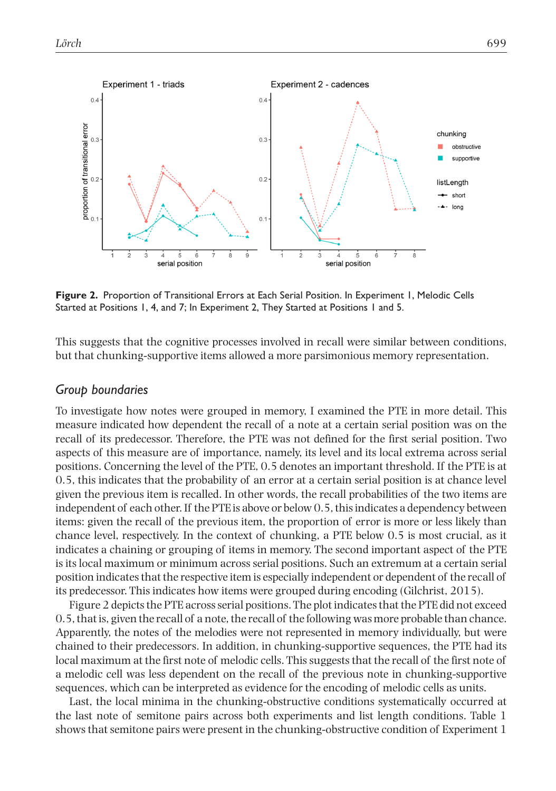

**Figure 2.** Proportion of Transitional Errors at Each Serial Position. In Experiment 1, Melodic Cells Started at Positions 1, 4, and 7; In Experiment 2, They Started at Positions 1 and 5.

This suggests that the cognitive processes involved in recall were similar between conditions, but that chunking-supportive items allowed a more parsimonious memory representation.

#### *Group boundaries*

To investigate how notes were grouped in memory, I examined the PTE in more detail. This measure indicated how dependent the recall of a note at a certain serial position was on the recall of its predecessor. Therefore, the PTE was not defined for the first serial position. Two aspects of this measure are of importance, namely, its level and its local extrema across serial positions. Concerning the level of the PTE, 0.5 denotes an important threshold. If the PTE is at 0.5, this indicates that the probability of an error at a certain serial position is at chance level given the previous item is recalled. In other words, the recall probabilities of the two items are independent of each other. If the PTE is above or below 0.5, this indicates a dependency between items: given the recall of the previous item, the proportion of error is more or less likely than chance level, respectively. In the context of chunking, a PTE below 0.5 is most crucial, as it indicates a chaining or grouping of items in memory. The second important aspect of the PTE is its local maximum or minimum across serial positions. Such an extremum at a certain serial position indicates that the respective item is especially independent or dependent of the recall of its predecessor. This indicates how items were grouped during encoding (Gilchrist, 2015).

Figure 2 depicts the PTE across serial positions. The plot indicates that the PTE did not exceed 0.5, that is, given the recall of a note, the recall of the following was more probable than chance. Apparently, the notes of the melodies were not represented in memory individually, but were chained to their predecessors. In addition, in chunking-supportive sequences, the PTE had its local maximum at the first note of melodic cells. This suggests that the recall of the first note of a melodic cell was less dependent on the recall of the previous note in chunking-supportive sequences, which can be interpreted as evidence for the encoding of melodic cells as units.

Last, the local minima in the chunking-obstructive conditions systematically occurred at the last note of semitone pairs across both experiments and list length conditions. Table 1 shows that semitone pairs were present in the chunking-obstructive condition of Experiment 1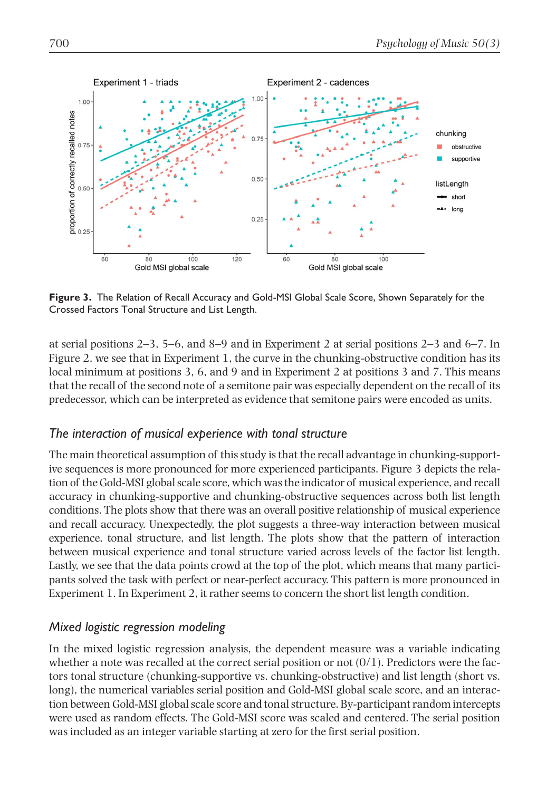

**Figure 3.** The Relation of Recall Accuracy and Gold-MSI Global Scale Score, Shown Separately for the Crossed Factors Tonal Structure and List Length.

at serial positions 2–3, 5–6, and 8–9 and in Experiment 2 at serial positions 2–3 and 6–7. In Figure 2, we see that in Experiment 1, the curve in the chunking-obstructive condition has its local minimum at positions 3, 6, and 9 and in Experiment 2 at positions 3 and 7. This means that the recall of the second note of a semitone pair was especially dependent on the recall of its predecessor, which can be interpreted as evidence that semitone pairs were encoded as units.

## *The interaction of musical experience with tonal structure*

The main theoretical assumption of this study is that the recall advantage in chunking-supportive sequences is more pronounced for more experienced participants. Figure 3 depicts the relation of the Gold-MSI global scale score, which was the indicator of musical experience, and recall accuracy in chunking-supportive and chunking-obstructive sequences across both list length conditions. The plots show that there was an overall positive relationship of musical experience and recall accuracy. Unexpectedly, the plot suggests a three-way interaction between musical experience, tonal structure, and list length. The plots show that the pattern of interaction between musical experience and tonal structure varied across levels of the factor list length. Lastly, we see that the data points crowd at the top of the plot, which means that many participants solved the task with perfect or near-perfect accuracy. This pattern is more pronounced in Experiment 1. In Experiment 2, it rather seems to concern the short list length condition.

## *Mixed logistic regression modeling*

In the mixed logistic regression analysis, the dependent measure was a variable indicating whether a note was recalled at the correct serial position or not  $(0/1)$ . Predictors were the factors tonal structure (chunking-supportive vs. chunking-obstructive) and list length (short vs. long), the numerical variables serial position and Gold-MSI global scale score, and an interaction between Gold-MSI global scale score and tonal structure. By-participant random intercepts were used as random effects. The Gold-MSI score was scaled and centered. The serial position was included as an integer variable starting at zero for the first serial position.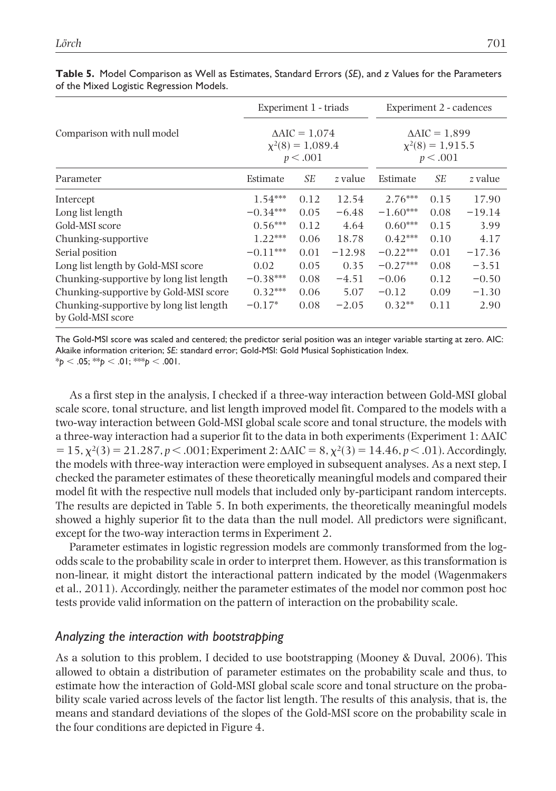|                                                              | Experiment 1 - triads<br>$\triangle AIC = 1.074$<br>$\chi^2(8) = 1,089.4$<br>p < .001 |      |          | Experiment 2 - cadences<br>$\triangle AIC = 1.899$<br>$\chi^2(8) = 1,915.5$<br>p < .001 |      |          |
|--------------------------------------------------------------|---------------------------------------------------------------------------------------|------|----------|-----------------------------------------------------------------------------------------|------|----------|
| Comparison with null model                                   |                                                                                       |      |          |                                                                                         |      |          |
| Parameter                                                    | Estimate                                                                              | SE   | z value  | Estimate                                                                                | SE   | z value  |
| Intercept                                                    | $1.54***$                                                                             | 0.12 | 12.54    | $2.76***$                                                                               | 0.15 | 17.90    |
| Long list length                                             | $-0.34***$                                                                            | 0.05 | $-6.48$  | $-1.60***$                                                                              | 0.08 | $-19.14$ |
| Gold-MSI score                                               | $0.56***$                                                                             | 0.12 | 4.64     | $0.60***$                                                                               | 0.15 | 3.99     |
| Chunking-supportive                                          | $1.22***$                                                                             | 0.06 | 18.78    | $0.42***$                                                                               | 0.10 | 4.17     |
| Serial position                                              | $-0.11***$                                                                            | 0.01 | $-12.98$ | $-0.22***$                                                                              | 0.01 | $-17.36$ |
| Long list length by Gold-MSI score                           | 0.02                                                                                  | 0.05 | 0.35     | $-0.27***$                                                                              | 0.08 | $-3.51$  |
| Chunking-supportive by long list length                      | $-0.38***$                                                                            | 0.08 | $-4.51$  | $-0.06$                                                                                 | 0.12 | $-0.50$  |
| Chunking-supportive by Gold-MSI score                        | $0.32***$                                                                             | 0.06 | 5.07     | $-0.12$                                                                                 | 0.09 | $-1.30$  |
| Chunking-supportive by long list length<br>by Gold-MSI score | $-0.17*$                                                                              | 0.08 | $-2.05$  | $0.32**$                                                                                | 0.11 | 2.90     |

**Table 5.** Model Comparison as Well as Estimates, Standard Errors (*SE*), and *z* Values for the Parameters of the Mixed Logistic Regression Models.

The Gold-MSI score was scaled and centered; the predictor serial position was an integer variable starting at zero. AIC: Akaike information criterion; *SE*: standard error; Gold-MSI: Gold Musical Sophistication Index.  $*_{p}$  < .05;  $*_{p}$  < .01;  $*_{p}$  < .001.

As a first step in the analysis, I checked if a three-way interaction between Gold-MSI global scale score, tonal structure, and list length improved model fit. Compared to the models with a two-way interaction between Gold-MSI global scale score and tonal structure, the models with a three-way interaction had a superior fit to the data in both experiments (Experiment 1: ΔAIC  $= 15$ ,  $\chi^2(3) = 21.287$ ,  $p < .001$ ; Experiment 2:  $\Delta AIC = 8$ ,  $\chi^2(3) = 14.46$ ,  $p < .01$ ). Accordingly, the models with three-way interaction were employed in subsequent analyses. As a next step, I checked the parameter estimates of these theoretically meaningful models and compared their model fit with the respective null models that included only by-participant random intercepts. The results are depicted in Table 5. In both experiments, the theoretically meaningful models showed a highly superior fit to the data than the null model. All predictors were significant, except for the two-way interaction terms in Experiment 2.

Parameter estimates in logistic regression models are commonly transformed from the logodds scale to the probability scale in order to interpret them. However, as this transformation is non-linear, it might distort the interactional pattern indicated by the model (Wagenmakers et al., 2011). Accordingly, neither the parameter estimates of the model nor common post hoc tests provide valid information on the pattern of interaction on the probability scale.

## *Analyzing the interaction with bootstrapping*

As a solution to this problem, I decided to use bootstrapping (Mooney & Duval, 2006). This allowed to obtain a distribution of parameter estimates on the probability scale and thus, to estimate how the interaction of Gold-MSI global scale score and tonal structure on the probability scale varied across levels of the factor list length. The results of this analysis, that is, the means and standard deviations of the slopes of the Gold-MSI score on the probability scale in the four conditions are depicted in Figure 4.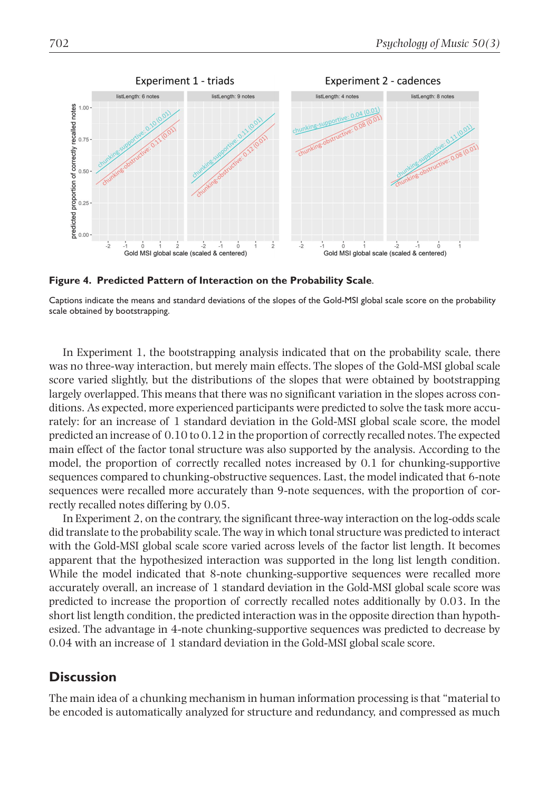

**Figure 4. Predicted Pattern of Interaction on the Probability Scale**.

Captions indicate the means and standard deviations of the slopes of the Gold-MSI global scale score on the probability scale obtained by bootstrapping.

In Experiment 1, the bootstrapping analysis indicated that on the probability scale, there was no three-way interaction, but merely main effects. The slopes of the Gold-MSI global scale score varied slightly, but the distributions of the slopes that were obtained by bootstrapping largely overlapped. This means that there was no significant variation in the slopes across conditions. As expected, more experienced participants were predicted to solve the task more accurately: for an increase of 1 standard deviation in the Gold-MSI global scale score, the model predicted an increase of 0.10 to 0.12 in the proportion of correctly recalled notes. The expected main effect of the factor tonal structure was also supported by the analysis. According to the model, the proportion of correctly recalled notes increased by 0.1 for chunking-supportive sequences compared to chunking-obstructive sequences. Last, the model indicated that 6-note sequences were recalled more accurately than 9-note sequences, with the proportion of correctly recalled notes differing by 0.05.

In Experiment 2, on the contrary, the significant three-way interaction on the log-odds scale did translate to the probability scale. The way in which tonal structure was predicted to interact with the Gold-MSI global scale score varied across levels of the factor list length. It becomes apparent that the hypothesized interaction was supported in the long list length condition. While the model indicated that 8-note chunking-supportive sequences were recalled more accurately overall, an increase of 1 standard deviation in the Gold-MSI global scale score was predicted to increase the proportion of correctly recalled notes additionally by 0.03. In the short list length condition, the predicted interaction was in the opposite direction than hypothesized. The advantage in 4-note chunking-supportive sequences was predicted to decrease by 0.04 with an increase of 1 standard deviation in the Gold-MSI global scale score.

## **Discussion**

The main idea of a chunking mechanism in human information processing is that "material to be encoded is automatically analyzed for structure and redundancy, and compressed as much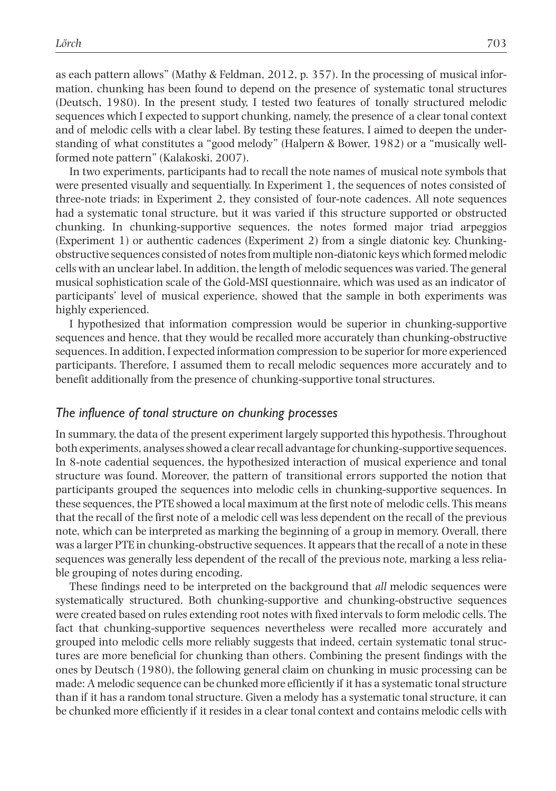as each pattern allows" (Mathy & Feldman, 2012, p. 357). In the processing of musical information, chunking has been found to depend on the presence of systematic tonal structures (Deutsch, 1980). In the present study, I tested two features of tonally structured melodic sequences which I expected to support chunking, namely, the presence of a clear tonal context and of melodic cells with a clear label. By testing these features, I aimed to deepen the understanding of what constitutes a "good melody" (Halpern & Bower, 1982) or a "musically wellformed note pattern" (Kalakoski, 2007).

In two experiments, participants had to recall the note names of musical note symbols that were presented visually and sequentially. In Experiment 1, the sequences of notes consisted of three-note triads; in Experiment 2, they consisted of four-note cadences. All note sequences had a systematic tonal structure, but it was varied if this structure supported or obstructed chunking. In chunking-supportive sequences, the notes formed major triad arpeggios (Experiment 1) or authentic cadences (Experiment 2) from a single diatonic key. Chunkingobstructive sequences consisted of notes from multiple non-diatonic keys which formed melodic cells with an unclear label. In addition, the length of melodic sequences was varied. The general musical sophistication scale of the Gold-MSI questionnaire, which was used as an indicator of participants' level of musical experience, showed that the sample in both experiments was highly experienced.

I hypothesized that information compression would be superior in chunking-supportive sequences and hence, that they would be recalled more accurately than chunking-obstructive sequences. In addition, I expected information compression to be superior for more experienced participants. Therefore, I assumed them to recall melodic sequences more accurately and to benefit additionally from the presence of chunking-supportive tonal structures.

### *The influence of tonal structure on chunking processes*

In summary, the data of the present experiment largely supported this hypothesis. Throughout both experiments, analyses showed a clear recall advantage for chunking-supportive sequences. In 8-note cadential sequences, the hypothesized interaction of musical experience and tonal structure was found. Moreover, the pattern of transitional errors supported the notion that participants grouped the sequences into melodic cells in chunking-supportive sequences. In these sequences, the PTE showed a local maximum at the first note of melodic cells. This means that the recall of the first note of a melodic cell was less dependent on the recall of the previous note, which can be interpreted as marking the beginning of a group in memory. Overall, there was a larger PTE in chunking-obstructive sequences. It appears that the recall of a note in these sequences was generally less dependent of the recall of the previous note, marking a less reliable grouping of notes during encoding.

These findings need to be interpreted on the background that *all* melodic sequences were systematically structured. Both chunking-supportive and chunking-obstructive sequences were created based on rules extending root notes with fixed intervals to form melodic cells. The fact that chunking-supportive sequences nevertheless were recalled more accurately and grouped into melodic cells more reliably suggests that indeed, certain systematic tonal structures are more beneficial for chunking than others. Combining the present findings with the ones by Deutsch (1980), the following general claim on chunking in music processing can be made: A melodic sequence can be chunked more efficiently if it has a systematic tonal structure than if it has a random tonal structure. Given a melody has a systematic tonal structure, it can be chunked more efficiently if it resides in a clear tonal context and contains melodic cells with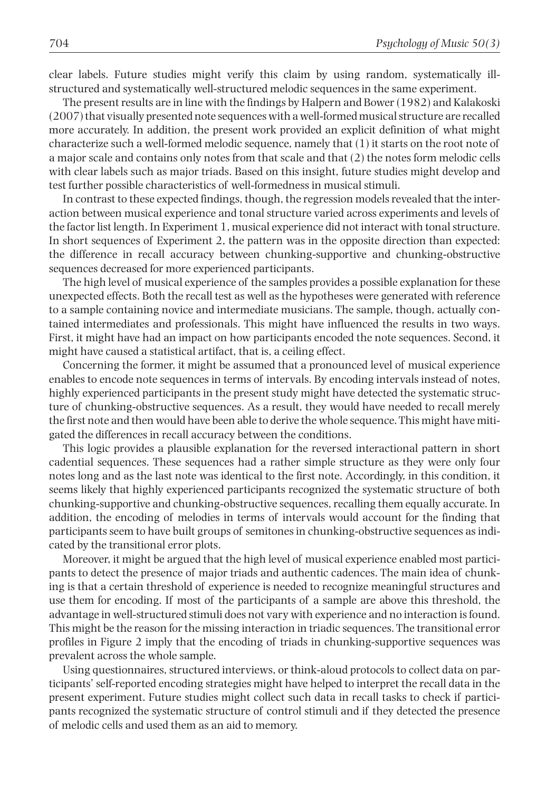clear labels. Future studies might verify this claim by using random, systematically illstructured and systematically well-structured melodic sequences in the same experiment.

The present results are in line with the findings by Halpern and Bower (1982) and Kalakoski (2007) that visually presented note sequences with a well-formed musical structure are recalled more accurately. In addition, the present work provided an explicit definition of what might characterize such a well-formed melodic sequence, namely that (1) it starts on the root note of a major scale and contains only notes from that scale and that (2) the notes form melodic cells with clear labels such as major triads. Based on this insight, future studies might develop and test further possible characteristics of well-formedness in musical stimuli.

In contrast to these expected findings, though, the regression models revealed that the interaction between musical experience and tonal structure varied across experiments and levels of the factor list length. In Experiment 1, musical experience did not interact with tonal structure. In short sequences of Experiment 2, the pattern was in the opposite direction than expected: the difference in recall accuracy between chunking-supportive and chunking-obstructive sequences decreased for more experienced participants.

The high level of musical experience of the samples provides a possible explanation for these unexpected effects. Both the recall test as well as the hypotheses were generated with reference to a sample containing novice and intermediate musicians. The sample, though, actually contained intermediates and professionals. This might have influenced the results in two ways. First, it might have had an impact on how participants encoded the note sequences. Second, it might have caused a statistical artifact, that is, a ceiling effect.

Concerning the former, it might be assumed that a pronounced level of musical experience enables to encode note sequences in terms of intervals. By encoding intervals instead of notes, highly experienced participants in the present study might have detected the systematic structure of chunking-obstructive sequences. As a result, they would have needed to recall merely the first note and then would have been able to derive the whole sequence. This might have mitigated the differences in recall accuracy between the conditions.

This logic provides a plausible explanation for the reversed interactional pattern in short cadential sequences. These sequences had a rather simple structure as they were only four notes long and as the last note was identical to the first note. Accordingly, in this condition, it seems likely that highly experienced participants recognized the systematic structure of both chunking-supportive and chunking-obstructive sequences, recalling them equally accurate. In addition, the encoding of melodies in terms of intervals would account for the finding that participants seem to have built groups of semitones in chunking-obstructive sequences as indicated by the transitional error plots.

Moreover, it might be argued that the high level of musical experience enabled most participants to detect the presence of major triads and authentic cadences. The main idea of chunking is that a certain threshold of experience is needed to recognize meaningful structures and use them for encoding. If most of the participants of a sample are above this threshold, the advantage in well-structured stimuli does not vary with experience and no interaction is found. This might be the reason for the missing interaction in triadic sequences. The transitional error profiles in Figure 2 imply that the encoding of triads in chunking-supportive sequences was prevalent across the whole sample.

Using questionnaires, structured interviews, or think-aloud protocols to collect data on participants' self-reported encoding strategies might have helped to interpret the recall data in the present experiment. Future studies might collect such data in recall tasks to check if participants recognized the systematic structure of control stimuli and if they detected the presence of melodic cells and used them as an aid to memory.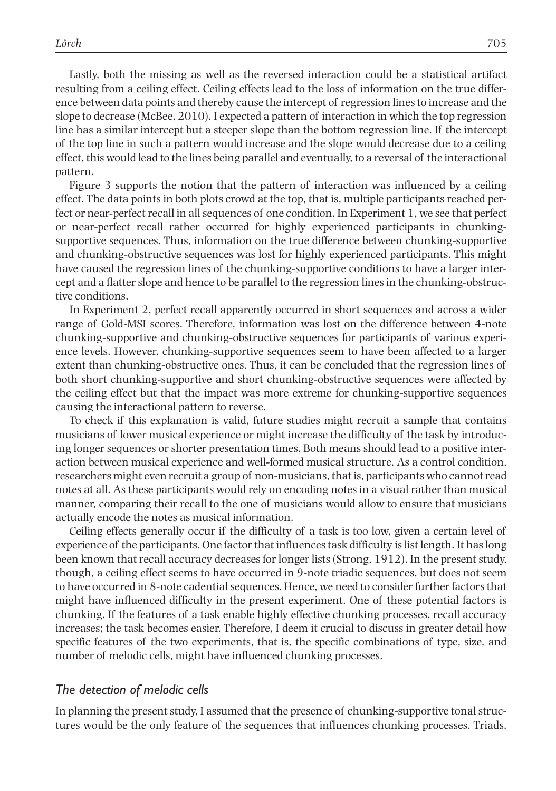Lastly, both the missing as well as the reversed interaction could be a statistical artifact resulting from a ceiling effect. Ceiling effects lead to the loss of information on the true difference between data points and thereby cause the intercept of regression lines to increase and the slope to decrease (McBee, 2010). I expected a pattern of interaction in which the top regression line has a similar intercept but a steeper slope than the bottom regression line. If the intercept of the top line in such a pattern would increase and the slope would decrease due to a ceiling effect, this would lead to the lines being parallel and eventually, to a reversal of the interactional pattern.

Figure 3 supports the notion that the pattern of interaction was influenced by a ceiling effect. The data points in both plots crowd at the top, that is, multiple participants reached perfect or near-perfect recall in all sequences of one condition. In Experiment 1, we see that perfect or near-perfect recall rather occurred for highly experienced participants in chunkingsupportive sequences. Thus, information on the true difference between chunking-supportive and chunking-obstructive sequences was lost for highly experienced participants. This might have caused the regression lines of the chunking-supportive conditions to have a larger intercept and a flatter slope and hence to be parallel to the regression lines in the chunking-obstructive conditions.

In Experiment 2, perfect recall apparently occurred in short sequences and across a wider range of Gold-MSI scores. Therefore, information was lost on the difference between 4-note chunking-supportive and chunking-obstructive sequences for participants of various experience levels. However, chunking-supportive sequences seem to have been affected to a larger extent than chunking-obstructive ones. Thus, it can be concluded that the regression lines of both short chunking-supportive and short chunking-obstructive sequences were affected by the ceiling effect but that the impact was more extreme for chunking-supportive sequences causing the interactional pattern to reverse.

To check if this explanation is valid, future studies might recruit a sample that contains musicians of lower musical experience or might increase the difficulty of the task by introducing longer sequences or shorter presentation times. Both means should lead to a positive interaction between musical experience and well-formed musical structure. As a control condition, researchers might even recruit a group of non-musicians, that is, participants who cannot read notes at all. As these participants would rely on encoding notes in a visual rather than musical manner, comparing their recall to the one of musicians would allow to ensure that musicians actually encode the notes as musical information.

Ceiling effects generally occur if the difficulty of a task is too low, given a certain level of experience of the participants. One factor that influences task difficulty is list length. It has long been known that recall accuracy decreases for longer lists (Strong, 1912). In the present study, though, a ceiling effect seems to have occurred in 9-note triadic sequences, but does not seem to have occurred in 8-note cadential sequences. Hence, we need to consider further factors that might have influenced difficulty in the present experiment. One of these potential factors is chunking. If the features of a task enable highly effective chunking processes, recall accuracy increases; the task becomes easier. Therefore, I deem it crucial to discuss in greater detail how specific features of the two experiments, that is, the specific combinations of type, size, and number of melodic cells, might have influenced chunking processes.

#### *The detection of melodic cells*

In planning the present study, I assumed that the presence of chunking-supportive tonal structures would be the only feature of the sequences that influences chunking processes. Triads,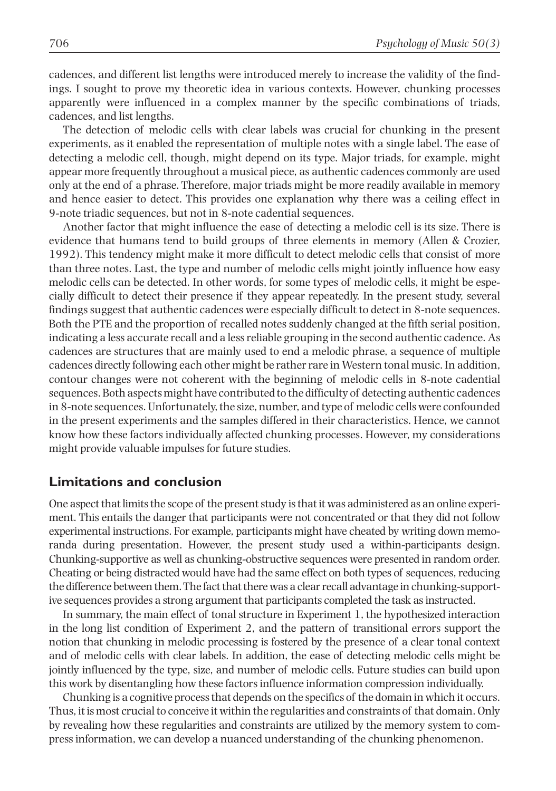cadences, and different list lengths were introduced merely to increase the validity of the findings. I sought to prove my theoretic idea in various contexts. However, chunking processes apparently were influenced in a complex manner by the specific combinations of triads, cadences, and list lengths.

The detection of melodic cells with clear labels was crucial for chunking in the present experiments, as it enabled the representation of multiple notes with a single label. The ease of detecting a melodic cell, though, might depend on its type. Major triads, for example, might appear more frequently throughout a musical piece, as authentic cadences commonly are used only at the end of a phrase. Therefore, major triads might be more readily available in memory and hence easier to detect. This provides one explanation why there was a ceiling effect in 9-note triadic sequences, but not in 8-note cadential sequences.

Another factor that might influence the ease of detecting a melodic cell is its size. There is evidence that humans tend to build groups of three elements in memory (Allen & Crozier, 1992). This tendency might make it more difficult to detect melodic cells that consist of more than three notes. Last, the type and number of melodic cells might jointly influence how easy melodic cells can be detected. In other words, for some types of melodic cells, it might be especially difficult to detect their presence if they appear repeatedly. In the present study, several findings suggest that authentic cadences were especially difficult to detect in 8-note sequences. Both the PTE and the proportion of recalled notes suddenly changed at the fifth serial position, indicating a less accurate recall and a less reliable grouping in the second authentic cadence. As cadences are structures that are mainly used to end a melodic phrase, a sequence of multiple cadences directly following each other might be rather rare in Western tonal music. In addition, contour changes were not coherent with the beginning of melodic cells in 8-note cadential sequences. Both aspects might have contributed to the difficulty of detecting authentic cadences in 8-note sequences. Unfortunately, the size, number, and type of melodic cells were confounded in the present experiments and the samples differed in their characteristics. Hence, we cannot know how these factors individually affected chunking processes. However, my considerations might provide valuable impulses for future studies.

## **Limitations and conclusion**

One aspect that limits the scope of the present study is that it was administered as an online experiment. This entails the danger that participants were not concentrated or that they did not follow experimental instructions. For example, participants might have cheated by writing down memoranda during presentation. However, the present study used a within-participants design. Chunking-supportive as well as chunking-obstructive sequences were presented in random order. Cheating or being distracted would have had the same effect on both types of sequences, reducing the difference between them. The fact that there was a clear recall advantage in chunking-supportive sequences provides a strong argument that participants completed the task as instructed.

In summary, the main effect of tonal structure in Experiment 1, the hypothesized interaction in the long list condition of Experiment 2, and the pattern of transitional errors support the notion that chunking in melodic processing is fostered by the presence of a clear tonal context and of melodic cells with clear labels. In addition, the ease of detecting melodic cells might be jointly influenced by the type, size, and number of melodic cells. Future studies can build upon this work by disentangling how these factors influence information compression individually.

Chunking is a cognitive process that depends on the specifics of the domain in which it occurs. Thus, it is most crucial to conceive it within the regularities and constraints of that domain. Only by revealing how these regularities and constraints are utilized by the memory system to compress information, we can develop a nuanced understanding of the chunking phenomenon.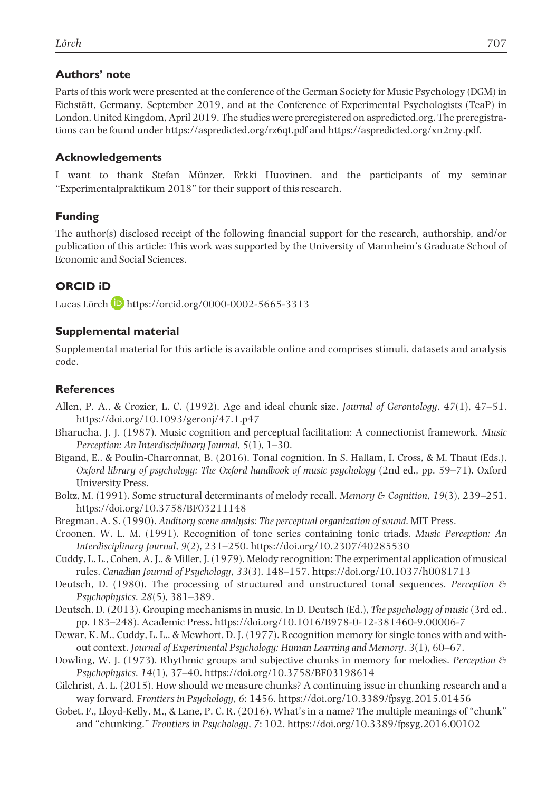### **Authors' note**

Parts of this work were presented at the conference of the German Society for Music Psychology (DGM) in Eichstätt, Germany, September 2019, and at the Conference of Experimental Psychologists (TeaP) in London, United Kingdom, April 2019. The studies were preregistered on aspredicted.org. The preregistrations can be found under<https://aspredicted.org/rz6qt.pdf> and <https://aspredicted.org/xn2my.pdf>.

### **Acknowledgements**

I want to thank Stefan Münzer, Erkki Huovinen, and the participants of my seminar "Experimentalpraktikum 2018" for their support of this research.

### **Funding**

The author(s) disclosed receipt of the following financial support for the research, authorship, and/or publication of this article: This work was supported by the University of Mannheim's Graduate School of Economic and Social Sciences.

## **ORCID iD**

Lucas Lörch **b** <https://orcid.org/0000-0002-5665-3313>

### **Supplemental material**

Supplemental material for this article is available online and comprises stimuli, datasets and analysis code.

## **References**

- Allen, P. A., & Crozier, L. C. (1992). Age and ideal chunk size. *Journal of Gerontology*, *47*(1), 47–51. <https://doi.org/10.1093/geronj/47.1.p47>
- Bharucha, J. J. (1987). Music cognition and perceptual facilitation: A connectionist framework. *Music Perception: An Interdisciplinary Journal*, *5*(1), 1–30.
- Bigand, E., & Poulin-Charronnat, B. (2016). Tonal cognition. In S. Hallam, I. Cross, & M. Thaut (Eds.), *Oxford library of psychology: The Oxford handbook of music psychology* (2nd ed., pp. 59–71). Oxford University Press.
- Boltz, M. (1991). Some structural determinants of melody recall. *Memory & Cognition*, *19*(3), 239–251. <https://doi.org/10.3758/BF03211148>
- Bregman, A. S. (1990). *Auditory scene analysis: The perceptual organization of sound*. MIT Press.
- Croonen, W. L. M. (1991). Recognition of tone series containing tonic triads. *Music Perception: An Interdisciplinary Journal*, *9*(2), 231–250.<https://doi.org/10.2307/40285530>
- Cuddy, L. L., Cohen, A. J., & Miller, J. (1979). Melody recognition: The experimental application of musical rules. *Canadian Journal of Psychology*, *33*(3), 148–157. <https://doi.org/10.1037/h0081713>
- Deutsch, D. (1980). The processing of structured and unstructured tonal sequences. *Perception & Psychophysics*, *28*(5), 381–389.
- Deutsch, D. (2013). Grouping mechanisms in music. In D. Deutsch (Ed.), *The psychology of music* (3rd ed., pp. 183–248). Academic Press.<https://doi.org/10.1016/B978-0-12-381460-9.00006-7>
- Dewar, K. M., Cuddy, L. L., & Mewhort, D. J. (1977). Recognition memory for single tones with and without context. *Journal of Experimental Psychology: Human Learning and Memory*, *3*(1), 60–67.
- Dowling, W. J. (1973). Rhythmic groups and subjective chunks in memory for melodies. *Perception & Psychophysics*, *14*(1), 37–40.<https://doi.org/10.3758/BF03198614>
- Gilchrist, A. L. (2015). How should we measure chunks? A continuing issue in chunking research and a way forward. *Frontiers in Psychology*, *6*: 1456.<https://doi.org/10.3389/fpsyg.2015.01456>
- Gobet, F., Lloyd-Kelly, M., & Lane, P. C. R. (2016). What's in a name? The multiple meanings of "chunk" and "chunking." *Frontiers in Psychology*, *7*: 102.<https://doi.org/10.3389/fpsyg.2016.00102>